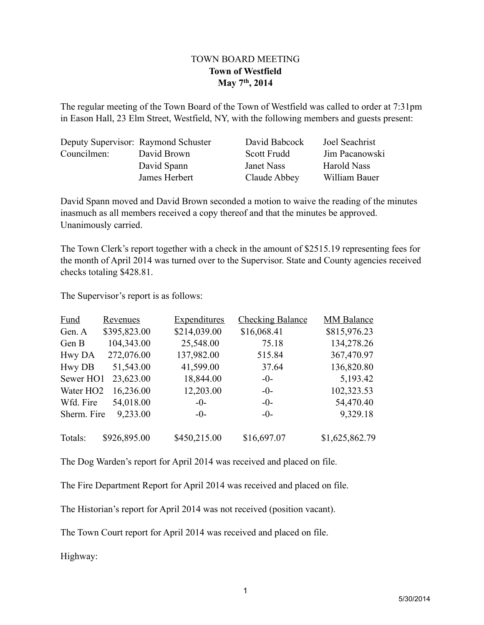## TOWN BOARD MEETING **Town of Westfield May 7th, 2014**

The regular meeting of the Town Board of the Town of Westfield was called to order at 7:31pm in Eason Hall, 23 Elm Street, Westfield, NY, with the following members and guests present:

|             | Deputy Supervisor: Raymond Schuster | David Babcock | Joel Seachrist     |
|-------------|-------------------------------------|---------------|--------------------|
| Councilmen: | David Brown                         | Scott Frudd   | Jim Pacanowski     |
|             | David Spann                         | Janet Nass    | <b>Harold Nass</b> |
|             | James Herbert                       | Claude Abbey  | William Bauer      |

David Spann moved and David Brown seconded a motion to waive the reading of the minutes inasmuch as all members received a copy thereof and that the minutes be approved. Unanimously carried.

The Town Clerk's report together with a check in the amount of \$2515.19 representing fees for the month of April 2014 was turned over to the Supervisor. State and County agencies received checks totaling \$428.81.

The Supervisor's report is as follows:

| <b>Fund</b>           | <b>Revenues</b> | <b>Expenditures</b> | <b>Checking Balance</b> | <b>MM Balance</b> |
|-----------------------|-----------------|---------------------|-------------------------|-------------------|
| Gen. A                | \$395,823.00    | \$214,039.00        | \$16,068.41             | \$815,976.23      |
| Gen B                 | 104,343.00      | 25,548.00           | 75.18                   | 134,278.26        |
| Hwy DA                | 272,076.00      | 137,982.00          | 515.84                  | 367,470.97        |
| <b>Hwy DB</b>         | 51,543.00       | 41,599.00           | 37.64                   | 136,820.80        |
| Sewer HO1             | 23,623.00       | 18,844.00           | $-0-$                   | 5,193.42          |
| Water HO <sub>2</sub> | 16,236.00       | 12,203.00           | $-0-$                   | 102,323.53        |
| Wfd. Fire             | 54,018.00       | $-0-$               | $-0-$                   | 54,470.40         |
| Sherm. Fire           | 9,233.00        | $-0-$               | $-()$                   | 9,329.18          |
| Totals:               | \$926,895.00    | \$450,215.00        | \$16,697.07             | \$1,625,862.79    |

The Dog Warden's report for April 2014 was received and placed on file.

The Fire Department Report for April 2014 was received and placed on file.

The Historian's report for April 2014 was not received (position vacant).

The Town Court report for April 2014 was received and placed on file.

Highway: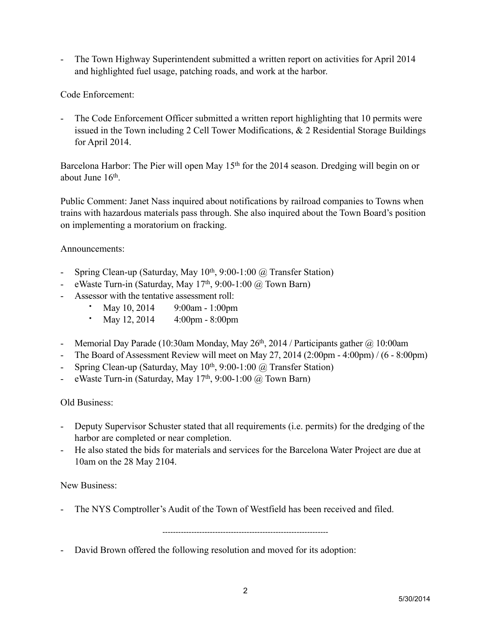- The Town Highway Superintendent submitted a written report on activities for April 2014 and highlighted fuel usage, patching roads, and work at the harbor.

Code Enforcement:

- The Code Enforcement Officer submitted a written report highlighting that 10 permits were issued in the Town including 2 Cell Tower Modifications, & 2 Residential Storage Buildings for April 2014.

Barcelona Harbor: The Pier will open May 15<sup>th</sup> for the 2014 season. Dredging will begin on or about June 16<sup>th</sup>

Public Comment: Janet Nass inquired about notifications by railroad companies to Towns when trains with hazardous materials pass through. She also inquired about the Town Board's position on implementing a moratorium on fracking.

Announcements:

- Spring Clean-up (Saturday, May  $10^{th}$ , 9:00-1:00  $\omega$  Transfer Station)
- eWaste Turn-in (Saturday, May  $17<sup>th</sup>$ , 9:00-1:00  $\omega$  Town Barn)
- Assessor with the tentative assessment roll:
	- May 10, 2014 9:00am 1:00pm
	- May 12, 2014 4:00pm 8:00pm
- Memorial Day Parade (10:30am Monday, May  $26<sup>th</sup>$ , 2014 / Participants gather  $@$  10:00am
- The Board of Assessment Review will meet on May 27, 2014 (2:00pm 4:00pm) / (6 8:00pm)
- Spring Clean-up (Saturday, May  $10^{th}$ , 9:00-1:00  $@$  Transfer Station)
- eWaste Turn-in (Saturday, May  $17<sup>th</sup>$ , 9:00-1:00  $\omega$  Town Barn)

## Old Business:

- Deputy Supervisor Schuster stated that all requirements (i.e. permits) for the dredging of the harbor are completed or near completion.
- He also stated the bids for materials and services for the Barcelona Water Project are due at 10am on the 28 May 2104.

New Business:

- The NYS Comptroller's Audit of the Town of Westfield has been received and filed.

---------------------------------------------------------------

- David Brown offered the following resolution and moved for its adoption: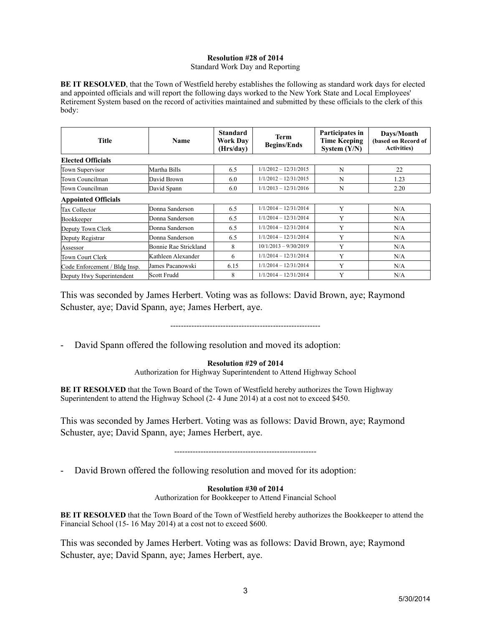## **Resolution #28 of 2014**

Standard Work Day and Reporting

**BE IT RESOLVED**, that the Town of Westfield hereby establishes the following as standard work days for elected and appointed officials and will report the following days worked to the New York State and Local Employees' Retirement System based on the record of activities maintained and submitted by these officials to the clerk of this body:

| <b>Title</b>                  | Name                  | <b>Standard</b><br><b>Work Day</b><br>(Hrs/day) | <b>Term</b><br><b>Begins/Ends</b> | Participates in<br><b>Time Keeping</b><br>System $(Y/N)$ | Days/Month<br>(based on Record of<br><b>Activities</b> ) |
|-------------------------------|-----------------------|-------------------------------------------------|-----------------------------------|----------------------------------------------------------|----------------------------------------------------------|
| <b>Elected Officials</b>      |                       |                                                 |                                   |                                                          |                                                          |
| Town Supervisor               | Martha Bills          | 6.5                                             | $1/1/2012 - 12/31/2015$           | N                                                        | 22                                                       |
| Town Councilman               | David Brown           | 6.0                                             | $1/1/2012 - 12/31/2015$           | N                                                        | 1.23                                                     |
| Town Councilman               | David Spann           | 6.0                                             | $1/1/2013 - 12/31/2016$           | N                                                        | 2.20                                                     |
| <b>Appointed Officials</b>    |                       |                                                 |                                   |                                                          |                                                          |
| Tax Collector                 | Donna Sanderson       | 6.5                                             | $1/1/2014 - 12/31/2014$           | Y                                                        | N/A                                                      |
| Bookkeeper                    | Donna Sanderson       | 6.5                                             | $1/1/2014 - 12/31/2014$           | Y                                                        | N/A                                                      |
| Deputy Town Clerk             | Donna Sanderson       | 6.5                                             | $1/1/2014 - 12/31/2014$           | Y                                                        | N/A                                                      |
| Deputy Registrar              | Donna Sanderson       | 6.5                                             | $1/1/2014 - 12/31/2014$           | Y                                                        | N/A                                                      |
| Assessor                      | Bonnie Rae Strickland | 8                                               | $10/1/2013 - 9/30/2019$           | Y                                                        | N/A                                                      |
| Town Court Clerk              | Kathleen Alexander    | 6                                               | $1/1/2014 - 12/31/2014$           | Y                                                        | N/A                                                      |
| Code Enforcement / Bldg Insp. | James Pacanowski      | 6.15                                            | $1/1/2014 - 12/31/2014$           | Y                                                        | N/A                                                      |
| Deputy Hwy Superintendent     | Scott Frudd           | 8                                               | $1/1/2014 - 12/31/2014$           | Y                                                        | N/A                                                      |

This was seconded by James Herbert. Voting was as follows: David Brown, aye; Raymond Schuster, aye; David Spann, aye; James Herbert, aye.

---------------------------------------------------------

- David Spann offered the following resolution and moved its adoption:

## **Resolution #29 of 2014**

Authorization for Highway Superintendent to Attend Highway School

**BE IT RESOLVED** that the Town Board of the Town of Westfield hereby authorizes the Town Highway Superintendent to attend the Highway School (2- 4 June 2014) at a cost not to exceed \$450.

This was seconded by James Herbert. Voting was as follows: David Brown, aye; Raymond Schuster, aye; David Spann, aye; James Herbert, aye.

------------------------------------------------------

- David Brown offered the following resolution and moved for its adoption:

**Resolution #30 of 2014** Authorization for Bookkeeper to Attend Financial School

**BE IT RESOLVED** that the Town Board of the Town of Westfield hereby authorizes the Bookkeeper to attend the Financial School (15- 16 May 2014) at a cost not to exceed \$600.

This was seconded by James Herbert. Voting was as follows: David Brown, aye; Raymond Schuster, aye; David Spann, aye; James Herbert, aye.